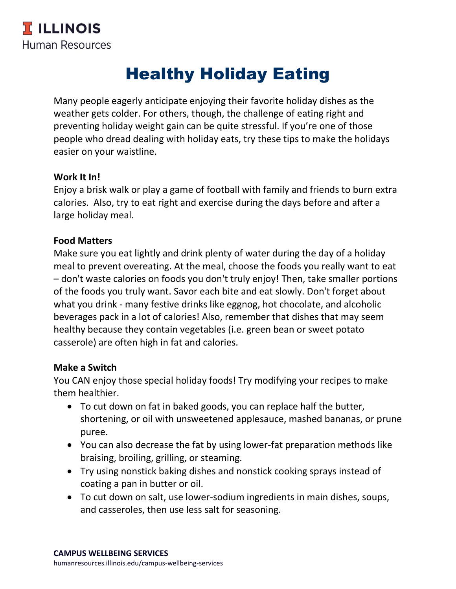# Healthy Holiday Eating

Many people eagerly anticipate enjoying their favorite holiday dishes as the weather gets colder. For others, though, the challenge of eating right and preventing holiday weight gain can be quite stressful. If you're one of those people who dread dealing with holiday eats, try these tips to make the holidays easier on your waistline.

### **Work It In!**

Enjoy a brisk walk or play a game of football with family and friends to burn extra calories. Also, try to eat right and exercise during the days before and after a large holiday meal.

## **Food Matters**

Make sure you eat lightly and drink plenty of water during the day of a holiday meal to prevent overeating. At the meal, choose the foods you really want to eat – don't waste calories on foods you don't truly enjoy! Then, take smaller portions of the foods you truly want. Savor each bite and eat slowly. Don't forget about what you drink - many festive drinks like eggnog, hot chocolate, and alcoholic beverages pack in a lot of calories! Also, remember that dishes that may seem healthy because they contain vegetables (i.e. green bean or sweet potato casserole) are often high in fat and calories.

### **Make a Switch**

You CAN enjoy those special holiday foods! Try modifying your recipes to make them healthier.

- To cut down on fat in baked goods, you can replace half the butter, shortening, or oil with unsweetened applesauce, mashed bananas, or prune puree.
- You can also decrease the fat by using lower-fat preparation methods like braising, broiling, grilling, or steaming.
- Try using nonstick baking dishes and nonstick cooking sprays instead of coating a pan in butter or oil.
- To cut down on salt, use lower-sodium ingredients in main dishes, soups, and casseroles, then use less salt for seasoning.